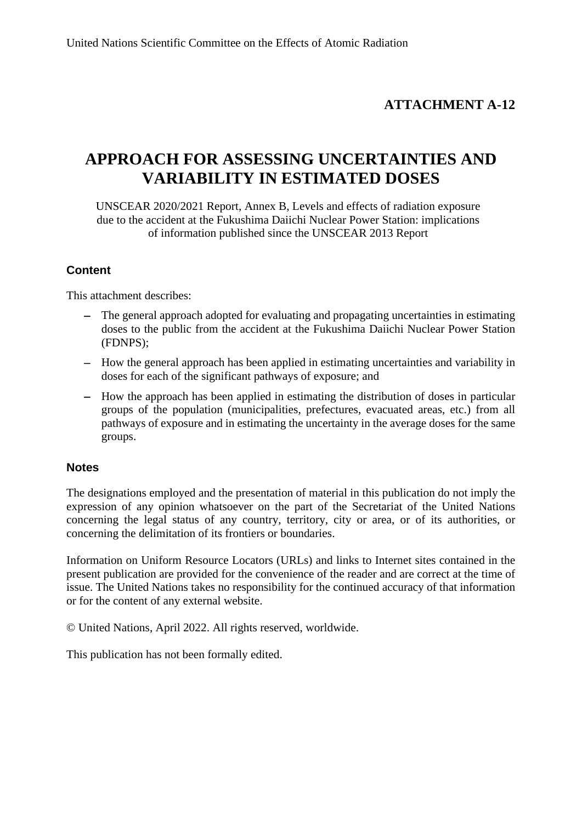## **ATTACHMENT A-12**

# **APPROACH FOR ASSESSING UNCERTAINTIES AND VARIABILITY IN ESTIMATED DOSES**

UNSCEAR 2020/2021 Report, Annex B, Levels and effects of radiation exposure due to the accident at the Fukushima Daiichi Nuclear Power Station: implications of information published since the UNSCEAR 2013 Report

### **Content**

This attachment describes:

- − The general approach adopted for evaluating and propagating uncertainties in estimating doses to the public from the accident at the Fukushima Daiichi Nuclear Power Station (FDNPS);
- − How the general approach has been applied in estimating uncertainties and variability in doses for each of the significant pathways of exposure; and
- − How the approach has been applied in estimating the distribution of doses in particular groups of the population (municipalities, prefectures, evacuated areas, etc.) from all pathways of exposure and in estimating the uncertainty in the average doses for the same groups.

#### **Notes**

The designations employed and the presentation of material in this publication do not imply the expression of any opinion whatsoever on the part of the Secretariat of the United Nations concerning the legal status of any country, territory, city or area, or of its authorities, or concerning the delimitation of its frontiers or boundaries.

Information on Uniform Resource Locators (URLs) and links to Internet sites contained in the present publication are provided for the convenience of the reader and are correct at the time of issue. The United Nations takes no responsibility for the continued accuracy of that information or for the content of any external website.

© United Nations, April 2022. All rights reserved, worldwide.

This publication has not been formally edited.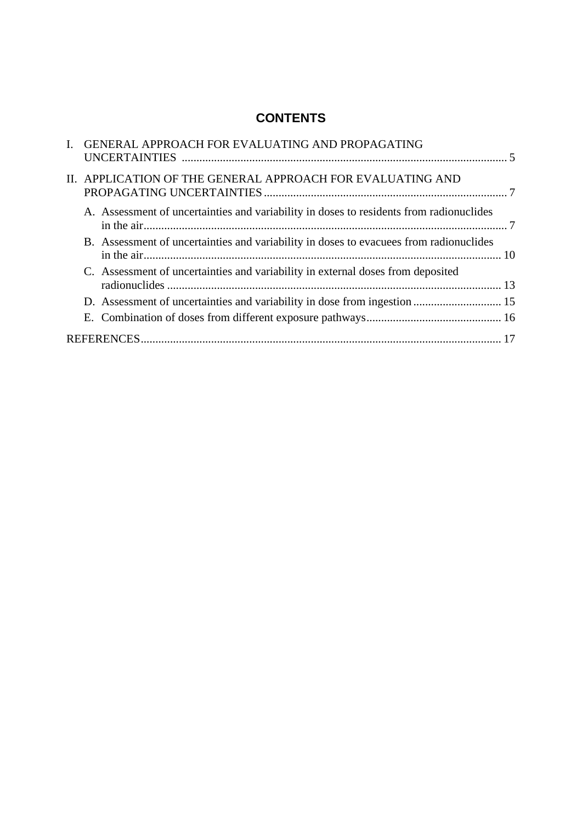## **CONTENTS**

| I. GENERAL APPROACH FOR EVALUATING AND PROPAGATING                                      |  |
|-----------------------------------------------------------------------------------------|--|
| II. APPLICATION OF THE GENERAL APPROACH FOR EVALUATING AND                              |  |
| A. Assessment of uncertainties and variability in doses to residents from radionuclides |  |
| B. Assessment of uncertainties and variability in doses to evacuees from radionuclides  |  |
| C. Assessment of uncertainties and variability in external doses from deposited         |  |
|                                                                                         |  |
|                                                                                         |  |
|                                                                                         |  |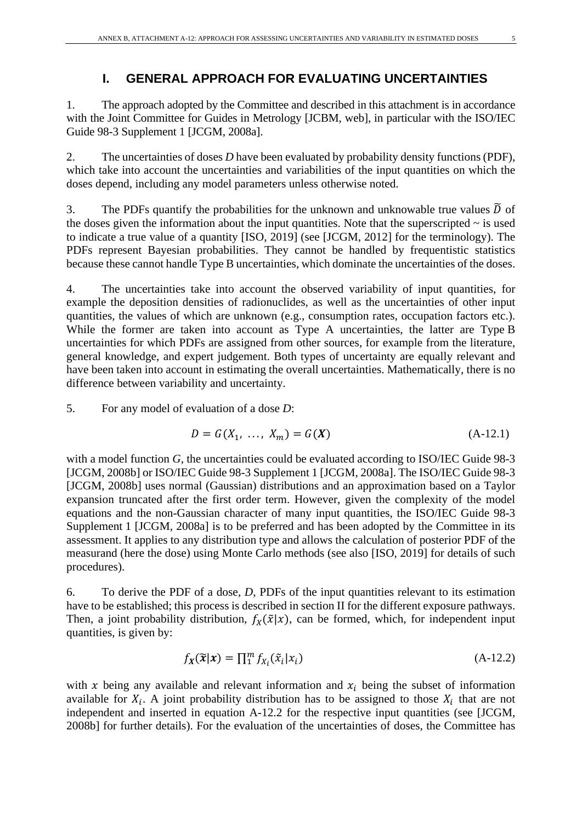### **I. GENERAL APPROACH FOR EVALUATING UNCERTAINTIES**

1. The approach adopted by the Committee and described in this attachment is in accordance with the Joint Committee for Guides in Metrology [JCBM, web], in particular with the ISO/IEC Guide 98-3 Supplement 1 [JCGM, 2008a].

2. The uncertainties of doses *D* have been evaluated by probability density functions (PDF), which take into account the uncertainties and variabilities of the input quantities on which the doses depend, including any model parameters unless otherwise noted.

3. The PDFs quantify the probabilities for the unknown and unknowable true values  $\tilde{D}$  of the doses given the information about the input quantities. Note that the superscripted  $\sim$  is used to indicate a true value of a quantity [ISO, 2019] (see [JCGM, 2012] for the terminology). The PDFs represent Bayesian probabilities. They cannot be handled by frequentistic statistics because these cannot handle Type B uncertainties, which dominate the uncertainties of the doses.

4. The uncertainties take into account the observed variability of input quantities, for example the deposition densities of radionuclides, as well as the uncertainties of other input quantities, the values of which are unknown (e.g., consumption rates, occupation factors etc.). While the former are taken into account as Type A uncertainties, the latter are Type B uncertainties for which PDFs are assigned from other sources, for example from the literature, general knowledge, and expert judgement. Both types of uncertainty are equally relevant and have been taken into account in estimating the overall uncertainties. Mathematically, there is no difference between variability and uncertainty.

5. For any model of evaluation of a dose *D*:

$$
D = G(X_1, ..., X_m) = G(X)
$$
 (A-12.1)

with a model function *G*, the uncertainties could be evaluated according to ISO/IEC Guide 98-3 [JCGM, 2008b] or ISO/IEC Guide 98-3 Supplement 1 [JCGM, 2008a]. The ISO/IEC Guide 98-3 [JCGM, 2008b] uses normal (Gaussian) distributions and an approximation based on a Taylor expansion truncated after the first order term. However, given the complexity of the model equations and the non-Gaussian character of many input quantities, the ISO/IEC Guide 98-3 Supplement 1 [JCGM, 2008a] is to be preferred and has been adopted by the Committee in its assessment. It applies to any distribution type and allows the calculation of posterior PDF of the measurand (here the dose) using Monte Carlo methods (see also [ISO, 2019] for details of such procedures).

6. To derive the PDF of a dose, *D*, PDFs of the input quantities relevant to its estimation have to be established; this process is described in section II for the different exposure pathways. Then, a joint probability distribution,  $f_X(\tilde{x}|x)$ , can be formed, which, for independent input quantities, is given by:

$$
f_X(\widetilde{\mathbf{x}}|\mathbf{x}) = \prod_{i=1}^{m} f_{X_i}(\widetilde{\mathbf{x}}_i|\mathbf{x}_i)
$$
\n(A-12.2)

with x being any available and relevant information and  $x_i$  being the subset of information available for  $X_i$ . A joint probability distribution has to be assigned to those  $X_i$  that are not independent and inserted in equation A-12.2 for the respective input quantities (see [JCGM, 2008b] for further details). For the evaluation of the uncertainties of doses, the Committee has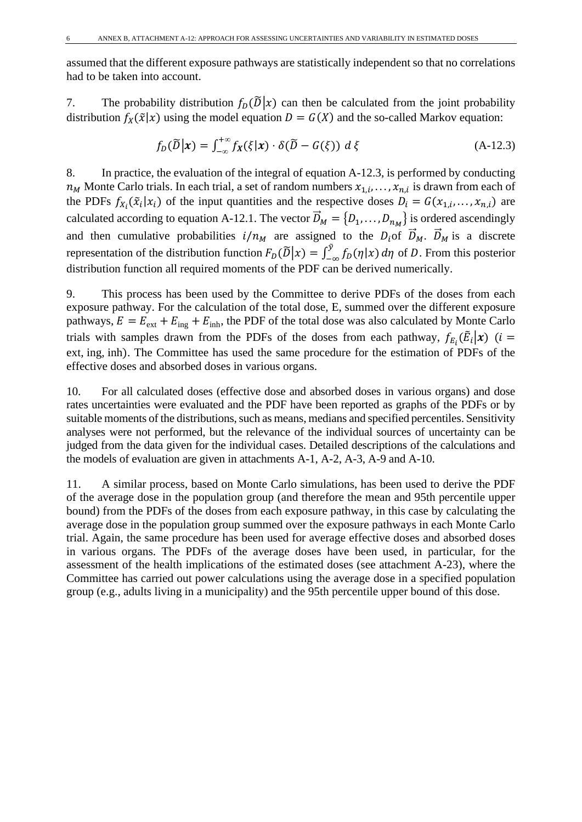assumed that the different exposure pathways are statistically independent so that no correlations had to be taken into account.

7. The probability distribution  $f_D(\tilde{D}|x)$  can then be calculated from the joint probability distribution  $f_X(\tilde{x}|x)$  using the model equation  $D = G(X)$  and the so-called Markov equation:

$$
f_D(\widetilde{D}|\mathbf{x}) = \int_{-\infty}^{+\infty} f_{\mathbf{x}}(\xi|\mathbf{x}) \cdot \delta(\widetilde{D} - G(\xi)) \, d\xi \tag{A-12.3}
$$

8. In practice, the evaluation of the integral of equation A-12.3, is performed by conducting  $n_M$  Monte Carlo trials. In each trial, a set of random numbers  $x_{1,i}, \ldots, x_{n,i}$  is drawn from each of the PDFs  $f_{X_i}(\tilde{x}_i|x_i)$  of the input quantities and the respective doses  $D_i = G(x_{1,i},...,x_{n,i})$  are calculated according to equation A-12.1. The vector  $D_M = \{D_1, \ldots, D_{n_M}\}\$  is ordered ascendingly and then cumulative probabilities  $i/n_M$  are assigned to the  $D_i$  of  $D_M$ .  $D_M$  is a discrete representation of the distribution function  $F_D(\tilde{D}|x) = \int_{-\infty}^{y} f_D(\eta|x) d\eta$  of D. From this posterior distribution function all required moments of the PDF can be derived numerically.

9. This process has been used by the Committee to derive PDFs of the doses from each exposure pathway. For the calculation of the total dose, E, summed over the different exposure pathways,  $E = E_{ext} + E_{ing} + E_{inh}$ , the PDF of the total dose was also calculated by Monte Carlo trials with samples drawn from the PDFs of the doses from each pathway,  $f_{E_i}(\vec{E}_i|\mathbf{x})$  ( $i =$ ext, ing, inh). The Committee has used the same procedure for the estimation of PDFs of the effective doses and absorbed doses in various organs.

10. For all calculated doses (effective dose and absorbed doses in various organs) and dose rates uncertainties were evaluated and the PDF have been reported as graphs of the PDFs or by suitable moments of the distributions, such as means, medians and specified percentiles. Sensitivity analyses were not performed, but the relevance of the individual sources of uncertainty can be judged from the data given for the individual cases. Detailed descriptions of the calculations and the models of evaluation are given in attachments A-1, A-2, A-3, A-9 and A-10.

11. A similar process, based on Monte Carlo simulations, has been used to derive the PDF of the average dose in the population group (and therefore the mean and 95th percentile upper bound) from the PDFs of the doses from each exposure pathway, in this case by calculating the average dose in the population group summed over the exposure pathways in each Monte Carlo trial. Again, the same procedure has been used for average effective doses and absorbed doses in various organs. The PDFs of the average doses have been used, in particular, for the assessment of the health implications of the estimated doses (see attachment A-23), where the Committee has carried out power calculations using the average dose in a specified population group (e.g., adults living in a municipality) and the 95th percentile upper bound of this dose.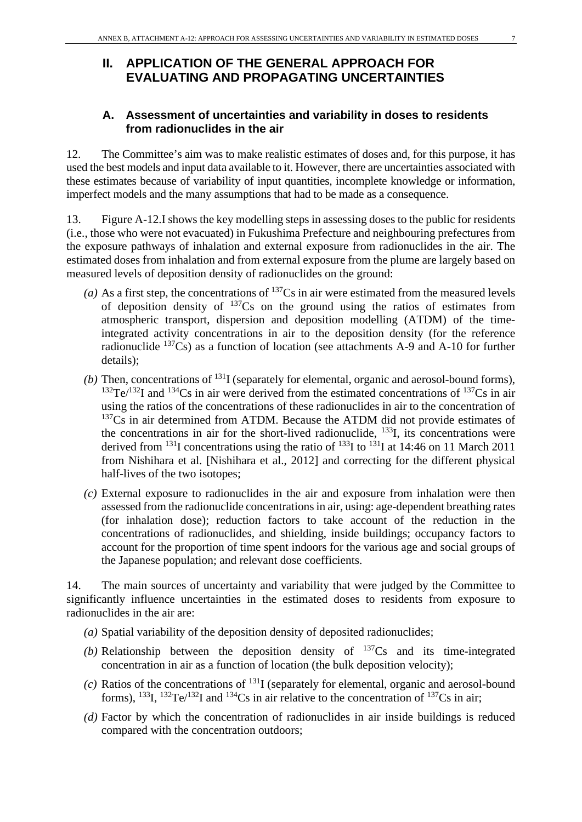## **II. APPLICATION OF THE GENERAL APPROACH FOR EVALUATING AND PROPAGATING UNCERTAINTIES**

#### **A. Assessment of uncertainties and variability in doses to residents from radionuclides in the air**

12. The Committee's aim was to make realistic estimates of doses and, for this purpose, it has used the best models and input data available to it. However, there are uncertainties associated with these estimates because of variability of input quantities, incomplete knowledge or information, imperfect models and the many assumptions that had to be made as a consequence.

13. Figure A-12.I shows the key modelling steps in assessing doses to the public for residents (i.e., those who were not evacuated) in Fukushima Prefecture and neighbouring prefectures from the exposure pathways of inhalation and external exposure from radionuclides in the air. The estimated doses from inhalation and from external exposure from the plume are largely based on measured levels of deposition density of radionuclides on the ground:

- (a) As a first step, the concentrations of  $^{137}Cs$  in air were estimated from the measured levels of deposition density of  $137Cs$  on the ground using the ratios of estimates from atmospheric transport, dispersion and deposition modelling (ATDM) of the timeintegrated activity concentrations in air to the deposition density (for the reference radionuclide 137Cs) as a function of location (see attachments A-9 and A-10 for further details);
- (b) Then, concentrations of  $^{131}I$  (separately for elemental, organic and aerosol-bound forms),  $132$ Te/ $132$ I and  $134$ Cs in air were derived from the estimated concentrations of  $137$ Cs in air using the ratios of the concentrations of these radionuclides in air to the concentration of <sup>137</sup>Cs in air determined from ATDM. Because the ATDM did not provide estimates of the concentrations in air for the short-lived radionuclide,  $^{133}I$ , its concentrations were derived from <sup>131</sup>I concentrations using the ratio of <sup>133</sup>I to <sup>131</sup>I at 14:46 on 11 March 2011 from Nishihara et al. [Nishihara et al., 2012] and correcting for the different physical half-lives of the two isotopes;
- *(c)* External exposure to radionuclides in the air and exposure from inhalation were then assessed from the radionuclide concentrations in air, using: age-dependent breathing rates (for inhalation dose); reduction factors to take account of the reduction in the concentrations of radionuclides, and shielding, inside buildings; occupancy factors to account for the proportion of time spent indoors for the various age and social groups of the Japanese population; and relevant dose coefficients.

14. The main sources of uncertainty and variability that were judged by the Committee to significantly influence uncertainties in the estimated doses to residents from exposure to radionuclides in the air are:

- *(a)* Spatial variability of the deposition density of deposited radionuclides;
- (b) Relationship between the deposition density of  $137Cs$  and its time-integrated concentration in air as a function of location (the bulk deposition velocity);
- *(c)* Ratios of the concentrations of 131I (separately for elemental, organic and aerosol-bound forms),  $^{133}$ I,  $^{132}$ Te/<sup>132</sup>I and  $^{134}$ Cs in air relative to the concentration of  $^{137}$ Cs in air;
- *(d)* Factor by which the concentration of radionuclides in air inside buildings is reduced compared with the concentration outdoors;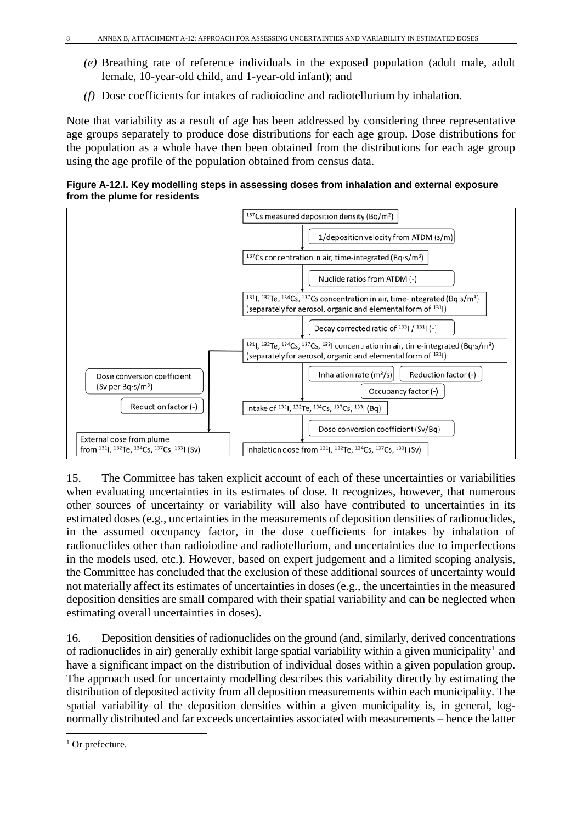- *(e)* Breathing rate of reference individuals in the exposed population (adult male, adult female, 10-year-old child, and 1-year-old infant); and
- *(f)* Dose coefficients for intakes of radioiodine and radiotellurium by inhalation.

Note that variability as a result of age has been addressed by considering three representative age groups separately to produce dose distributions for each age group. Dose distributions for the population as a whole have then been obtained from the distributions for each age group using the age profile of the population obtained from census data.

**Figure A-12.I. Key modelling steps in assessing doses from inhalation and external exposure from the plume for residents** 



15. The Committee has taken explicit account of each of these uncertainties or variabilities when evaluating uncertainties in its estimates of dose. It recognizes, however, that numerous other sources of uncertainty or variability will also have contributed to uncertainties in its estimated doses (e.g., uncertainties in the measurements of deposition densities of radionuclides, in the assumed occupancy factor, in the dose coefficients for intakes by inhalation of radionuclides other than radioiodine and radiotellurium, and uncertainties due to imperfections in the models used, etc.). However, based on expert judgement and a limited scoping analysis, the Committee has concluded that the exclusion of these additional sources of uncertainty would not materially affect its estimates of uncertainties in doses (e.g., the uncertainties in the measured deposition densities are small compared with their spatial variability and can be neglected when estimating overall uncertainties in doses).

16. Deposition densities of radionuclides on the ground (and, similarly, derived concentrations of radionuclides in air) generally exhibit large spatial variability within a given municipality<sup>[1](#page-7-0)</sup> and have a significant impact on the distribution of individual doses within a given population group. The approach used for uncertainty modelling describes this variability directly by estimating the distribution of deposited activity from all deposition measurements within each municipality. The spatial variability of the deposition densities within a given municipality is, in general, lognormally distributed and far exceeds uncertainties associated with measurements – hence the latter

<span id="page-7-0"></span> $1$  Or prefecture.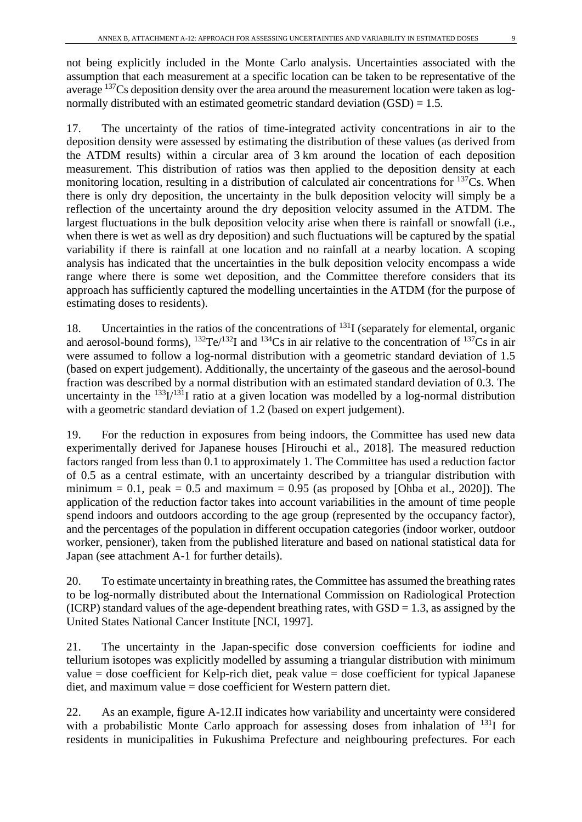not being explicitly included in the Monte Carlo analysis. Uncertainties associated with the assumption that each measurement at a specific location can be taken to be representative of the average <sup>137</sup>Cs deposition density over the area around the measurement location were taken as lognormally distributed with an estimated geometric standard deviation  $(GSD) = 1.5$ .

17. The uncertainty of the ratios of time-integrated activity concentrations in air to the deposition density were assessed by estimating the distribution of these values (as derived from the ATDM results) within a circular area of 3 km around the location of each deposition measurement. This distribution of ratios was then applied to the deposition density at each monitoring location, resulting in a distribution of calculated air concentrations for  $137Cs$ . When there is only dry deposition, the uncertainty in the bulk deposition velocity will simply be a reflection of the uncertainty around the dry deposition velocity assumed in the ATDM. The largest fluctuations in the bulk deposition velocity arise when there is rainfall or snowfall (i.e., when there is wet as well as dry deposition) and such fluctuations will be captured by the spatial variability if there is rainfall at one location and no rainfall at a nearby location. A scoping analysis has indicated that the uncertainties in the bulk deposition velocity encompass a wide range where there is some wet deposition, and the Committee therefore considers that its approach has sufficiently captured the modelling uncertainties in the ATDM (for the purpose of estimating doses to residents).

18. Uncertainties in the ratios of the concentrations of  $^{131}I$  (separately for elemental, organic and aerosol-bound forms),  $^{132}Te^{132}I$  and  $^{134}Cs$  in air relative to the concentration of  $^{137}Cs$  in air were assumed to follow a log-normal distribution with a geometric standard deviation of 1.5 (based on expert judgement). Additionally, the uncertainty of the gaseous and the aerosol-bound fraction was described by a normal distribution with an estimated standard deviation of 0.3. The uncertainty in the  $^{133}I^{131}I$  ratio at a given location was modelled by a log-normal distribution with a geometric standard deviation of 1.2 (based on expert judgement).

19. For the reduction in exposures from being indoors, the Committee has used new data experimentally derived for Japanese houses [Hirouchi et al., 2018]. The measured reduction factors ranged from less than 0.1 to approximately 1. The Committee has used a reduction factor of 0.5 as a central estimate, with an uncertainty described by a triangular distribution with minimum = 0.1, peak = 0.5 and maximum = 0.95 (as proposed by [Ohba et al., 2020]). The application of the reduction factor takes into account variabilities in the amount of time people spend indoors and outdoors according to the age group (represented by the occupancy factor), and the percentages of the population in different occupation categories (indoor worker, outdoor worker, pensioner), taken from the published literature and based on national statistical data for Japan (see attachment A-1 for further details).

20. To estimate uncertainty in breathing rates, the Committee has assumed the breathing rates to be log-normally distributed about the International Commission on Radiological Protection (ICRP) standard values of the age-dependent breathing rates, with  $GSD = 1.3$ , as assigned by the United States National Cancer Institute [NCI, 1997].

21. The uncertainty in the Japan-specific dose conversion coefficients for iodine and tellurium isotopes was explicitly modelled by assuming a triangular distribution with minimum value  $=$  dose coefficient for Kelp-rich diet, peak value  $=$  dose coefficient for typical Japanese diet, and maximum value = dose coefficient for Western pattern diet.

22. As an example, figure A-12.II indicates how variability and uncertainty were considered with a probabilistic Monte Carlo approach for assessing doses from inhalation of <sup>131</sup>I for residents in municipalities in Fukushima Prefecture and neighbouring prefectures. For each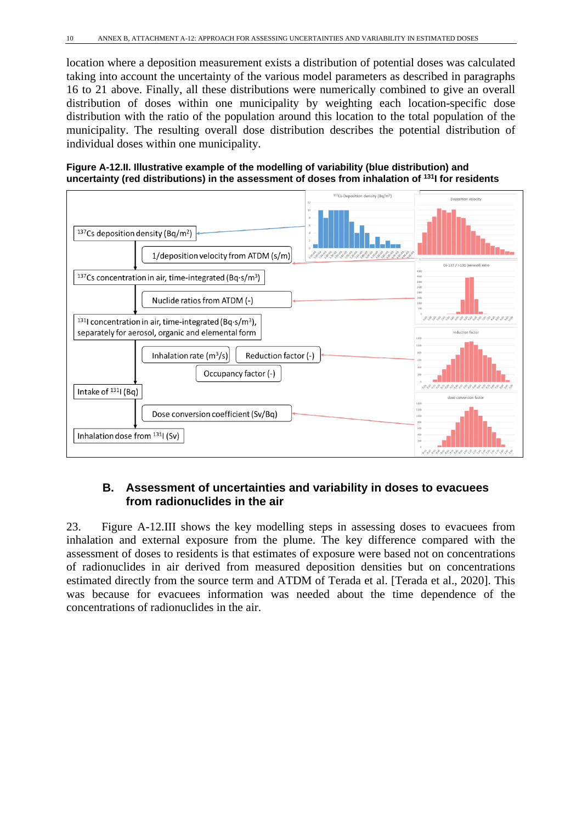location where a deposition measurement exists a distribution of potential doses was calculated taking into account the uncertainty of the various model parameters as described in paragraphs 16 to 21 above. Finally, all these distributions were numerically combined to give an overall distribution of doses within one municipality by weighting each location-specific dose distribution with the ratio of the population around this location to the total population of the municipality. The resulting overall dose distribution describes the potential distribution of individual doses within one municipality.





### **B. Assessment of uncertainties and variability in doses to evacuees from radionuclides in the air**

23. Figure A-12.III shows the key modelling steps in assessing doses to evacuees from inhalation and external exposure from the plume. The key difference compared with the assessment of doses to residents is that estimates of exposure were based not on concentrations of radionuclides in air derived from measured deposition densities but on concentrations estimated directly from the source term and ATDM of Terada et al. [Terada et al., 2020]. This was because for evacuees information was needed about the time dependence of the concentrations of radionuclides in the air.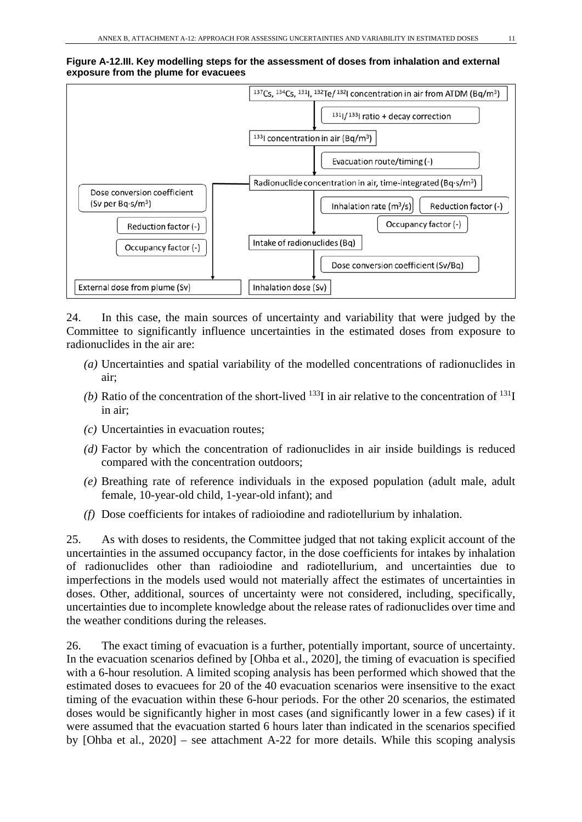#### **Figure A-12.III. Key modelling steps for the assessment of doses from inhalation and external exposure from the plume for evacuees**



24. In this case, the main sources of uncertainty and variability that were judged by the Committee to significantly influence uncertainties in the estimated doses from exposure to radionuclides in the air are:

- *(a)* Uncertainties and spatial variability of the modelled concentrations of radionuclides in air;
- *(b)* Ratio of the concentration of the short-lived  $^{133}$ I in air relative to the concentration of  $^{131}$ I in air;
- *(c)* Uncertainties in evacuation routes;
- *(d)* Factor by which the concentration of radionuclides in air inside buildings is reduced compared with the concentration outdoors;
- *(e)* Breathing rate of reference individuals in the exposed population (adult male, adult female, 10-year-old child, 1-year-old infant); and
- *(f)* Dose coefficients for intakes of radioiodine and radiotellurium by inhalation.

25. As with doses to residents, the Committee judged that not taking explicit account of the uncertainties in the assumed occupancy factor, in the dose coefficients for intakes by inhalation of radionuclides other than radioiodine and radiotellurium, and uncertainties due to imperfections in the models used would not materially affect the estimates of uncertainties in doses. Other, additional, sources of uncertainty were not considered, including, specifically, uncertainties due to incomplete knowledge about the release rates of radionuclides over time and the weather conditions during the releases.

26. The exact timing of evacuation is a further, potentially important, source of uncertainty. In the evacuation scenarios defined by [Ohba et al., 2020], the timing of evacuation is specified with a 6-hour resolution. A limited scoping analysis has been performed which showed that the estimated doses to evacuees for 20 of the 40 evacuation scenarios were insensitive to the exact timing of the evacuation within these 6-hour periods. For the other 20 scenarios, the estimated doses would be significantly higher in most cases (and significantly lower in a few cases) if it were assumed that the evacuation started 6 hours later than indicated in the scenarios specified by [Ohba et al., 2020] – see attachment A-22 for more details. While this scoping analysis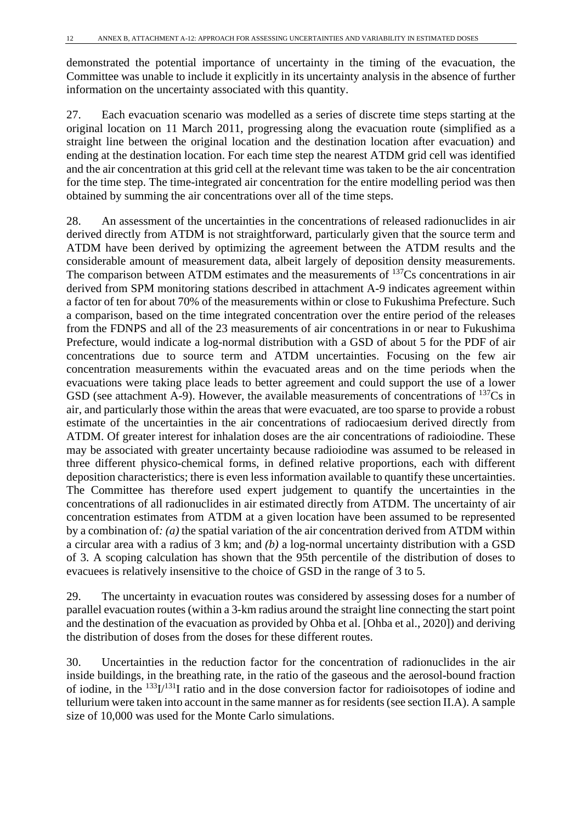demonstrated the potential importance of uncertainty in the timing of the evacuation, the Committee was unable to include it explicitly in its uncertainty analysis in the absence of further information on the uncertainty associated with this quantity.

27. Each evacuation scenario was modelled as a series of discrete time steps starting at the original location on 11 March 2011, progressing along the evacuation route (simplified as a straight line between the original location and the destination location after evacuation) and ending at the destination location. For each time step the nearest ATDM grid cell was identified and the air concentration at this grid cell at the relevant time was taken to be the air concentration for the time step. The time-integrated air concentration for the entire modelling period was then obtained by summing the air concentrations over all of the time steps.

28. An assessment of the uncertainties in the concentrations of released radionuclides in air derived directly from ATDM is not straightforward, particularly given that the source term and ATDM have been derived by optimizing the agreement between the ATDM results and the considerable amount of measurement data, albeit largely of deposition density measurements. The comparison between ATDM estimates and the measurements of <sup>137</sup>Cs concentrations in air derived from SPM monitoring stations described in attachment A-9 indicates agreement within a factor of ten for about 70% of the measurements within or close to Fukushima Prefecture. Such a comparison, based on the time integrated concentration over the entire period of the releases from the FDNPS and all of the 23 measurements of air concentrations in or near to Fukushima Prefecture, would indicate a log-normal distribution with a GSD of about 5 for the PDF of air concentrations due to source term and ATDM uncertainties. Focusing on the few air concentration measurements within the evacuated areas and on the time periods when the evacuations were taking place leads to better agreement and could support the use of a lower GSD (see attachment A-9). However, the available measurements of concentrations of  $^{137}Cs$  in air, and particularly those within the areas that were evacuated, are too sparse to provide a robust estimate of the uncertainties in the air concentrations of radiocaesium derived directly from ATDM. Of greater interest for inhalation doses are the air concentrations of radioiodine. These may be associated with greater uncertainty because radioiodine was assumed to be released in three different physico-chemical forms, in defined relative proportions, each with different deposition characteristics; there is even less information available to quantify these uncertainties. The Committee has therefore used expert judgement to quantify the uncertainties in the concentrations of all radionuclides in air estimated directly from ATDM. The uncertainty of air concentration estimates from ATDM at a given location have been assumed to be represented by a combination of*: (a)* the spatial variation of the air concentration derived from ATDM within a circular area with a radius of 3 km; and *(b)* a log-normal uncertainty distribution with a GSD of 3. A scoping calculation has shown that the 95th percentile of the distribution of doses to evacuees is relatively insensitive to the choice of GSD in the range of 3 to 5.

29. The uncertainty in evacuation routes was considered by assessing doses for a number of parallel evacuation routes (within a 3-km radius around the straight line connecting the start point and the destination of the evacuation as provided by Ohba et al. [Ohba et al., 2020]) and deriving the distribution of doses from the doses for these different routes.

30. Uncertainties in the reduction factor for the concentration of radionuclides in the air inside buildings, in the breathing rate, in the ratio of the gaseous and the aerosol-bound fraction of iodine, in the 133I/131I ratio and in the dose conversion factor for radioisotopes of iodine and tellurium were taken into account in the same manner as for residents(see section II.A). A sample size of 10,000 was used for the Monte Carlo simulations.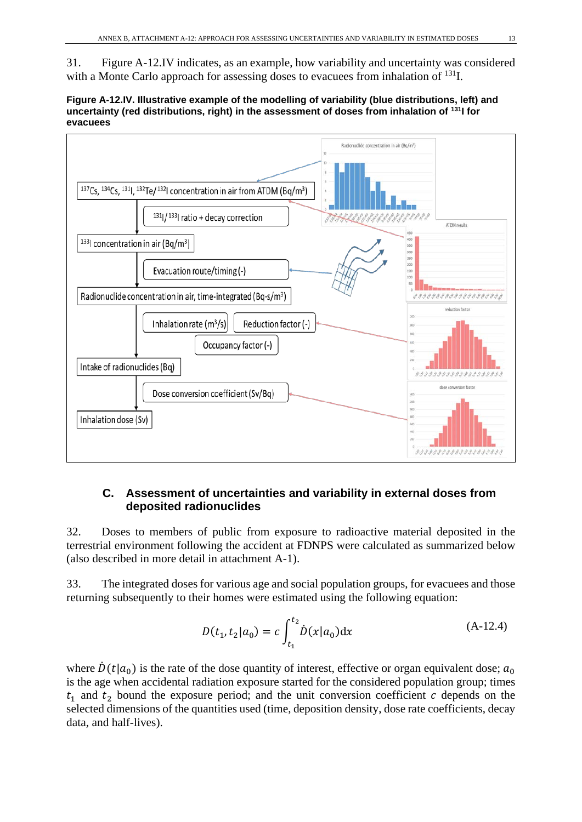31. Figure A-12.IV indicates, as an example, how variability and uncertainty was considered with a Monte Carlo approach for assessing doses to evacuees from inhalation of <sup>131</sup>I.

**Figure A-12.IV. Illustrative example of the modelling of variability (blue distributions, left) and uncertainty (red distributions, right) in the assessment of doses from inhalation of 131I for evacuees**



#### **C. Assessment of uncertainties and variability in external doses from deposited radionuclides**

32. Doses to members of public from exposure to radioactive material deposited in the terrestrial environment following the accident at FDNPS were calculated as summarized below (also described in more detail in attachment A-1).

33. The integrated doses for various age and social population groups, for evacuees and those returning subsequently to their homes were estimated using the following equation:

$$
D(t_1, t_2 | a_0) = c \int_{t_1}^{t_2} \dot{D}(x | a_0) dx
$$
 (A-12.4)

where  $\dot{D}(t|a_0)$  is the rate of the dose quantity of interest, effective or organ equivalent dose;  $a_0$ is the age when accidental radiation exposure started for the considered population group; times  $t_1$  and  $t_2$  bound the exposure period; and the unit conversion coefficient  $c$  depends on the selected dimensions of the quantities used (time, deposition density, dose rate coefficients, decay data, and half-lives).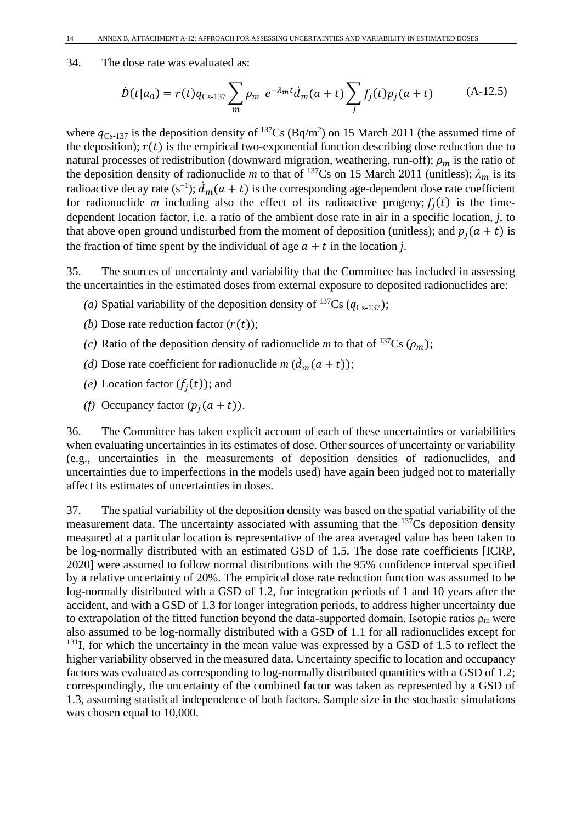#### 34. The dose rate was evaluated as:

$$
\dot{D}(t|a_0) = r(t)q_{Cs-137} \sum_{m} \rho_m \ e^{-\lambda_m t} \dot{d}_m(a+t) \sum_{j} f_j(t)p_j(a+t) \tag{A-12.5}
$$

where  $q_{Cs-137}$  is the deposition density of <sup>137</sup>Cs (Bq/m<sup>2</sup>) on 15 March 2011 (the assumed time of the deposition);  $r(t)$  is the empirical two-exponential function describing dose reduction due to natural processes of redistribution (downward migration, weathering, run-off);  $\rho_m$  is the ratio of the deposition density of radionuclide *m* to that of <sup>137</sup>Cs on 15 March 2011 (unitless);  $\lambda_m$  is its radioactive decay rate (s<sup>-1</sup>);  $d_m(a + t)$  is the corresponding age-dependent dose rate coefficient for radionuclide *m* including also the effect of its radioactive progeny;  $f_i(t)$  is the timedependent location factor, i.e. a ratio of the ambient dose rate in air in a specific location, *j*, to that above open ground undisturbed from the moment of deposition (unitless); and  $p_i(a + t)$  is the fraction of time spent by the individual of age  $a + t$  in the location *j*.

35. The sources of uncertainty and variability that the Committee has included in assessing the uncertainties in the estimated doses from external exposure to deposited radionuclides are:

- (a) Spatial variability of the deposition density of  $^{137}Cs$  ( $q_{Cs-137}$ );
- *(b)* Dose rate reduction factor  $(r(t))$ ;
- *(c)* Ratio of the deposition density of radionuclide *m* to that of <sup>137</sup>Cs ( $\rho_m$ );
- (*d*) Dose rate coefficient for radionuclide *m* ( $d_m(a + t)$ );
- (e) Location factor  $(f_i(t))$ ; and
- *(f)* Occupancy factor  $(p_i(a + t))$ .

36. The Committee has taken explicit account of each of these uncertainties or variabilities when evaluating uncertainties in its estimates of dose. Other sources of uncertainty or variability (e.g., uncertainties in the measurements of deposition densities of radionuclides, and uncertainties due to imperfections in the models used) have again been judged not to materially affect its estimates of uncertainties in doses.

37. The spatial variability of the deposition density was based on the spatial variability of the measurement data. The uncertainty associated with assuming that the <sup>137</sup>Cs deposition density measured at a particular location is representative of the area averaged value has been taken to be log-normally distributed with an estimated GSD of 1.5. The dose rate coefficients [ICRP, 2020] were assumed to follow normal distributions with the 95% confidence interval specified by a relative uncertainty of 20%. The empirical dose rate reduction function was assumed to be log-normally distributed with a GSD of 1.2, for integration periods of 1 and 10 years after the accident, and with a GSD of 1.3 for longer integration periods, to address higher uncertainty due to extrapolation of the fitted function beyond the data-supported domain. Isotopic ratios  $\rho_m$  were also assumed to be log-normally distributed with a GSD of 1.1 for all radionuclides except for  $131$ I, for which the uncertainty in the mean value was expressed by a GSD of 1.5 to reflect the higher variability observed in the measured data. Uncertainty specific to location and occupancy factors was evaluated as corresponding to log-normally distributed quantities with a GSD of 1.2; correspondingly, the uncertainty of the combined factor was taken as represented by a GSD of 1.3, assuming statistical independence of both factors. Sample size in the stochastic simulations was chosen equal to 10,000.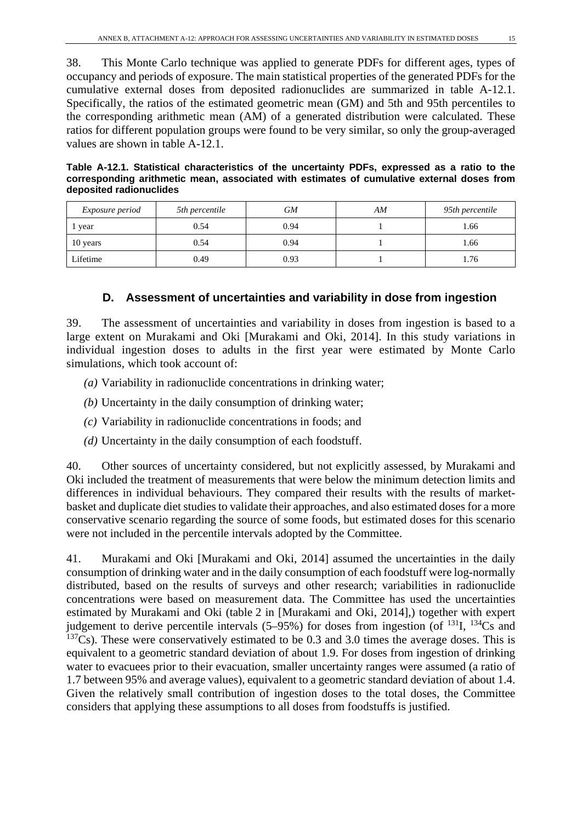38. This Monte Carlo technique was applied to generate PDFs for different ages, types of occupancy and periods of exposure. The main statistical properties of the generated PDFs for the cumulative external doses from deposited radionuclides are summarized in table A-12.1. Specifically, the ratios of the estimated geometric mean (GM) and 5th and 95th percentiles to the corresponding arithmetic mean (AM) of a generated distribution were calculated. These ratios for different population groups were found to be very similar, so only the group-averaged values are shown in table A-12.1.

| Table A-12.1. Statistical characteristics of the uncertainty PDFs, expressed as a ratio to the |  |  |  |  |  |
|------------------------------------------------------------------------------------------------|--|--|--|--|--|
| corresponding arithmetic mean, associated with estimates of cumulative external doses from     |  |  |  |  |  |
| deposited radionuclides                                                                        |  |  |  |  |  |

| <i>Exposure period</i> | 5th percentile | GМ   | AM | 95th percentile |  |
|------------------------|----------------|------|----|-----------------|--|
| year                   | 0.54           | 0.94 |    | l.66            |  |
| 10 years               | 0.54           | 0.94 |    | 1.66            |  |
| Lifetime               | 0.49           | 0.93 |    | 1.76            |  |

### **D. Assessment of uncertainties and variability in dose from ingestion**

39. The assessment of uncertainties and variability in doses from ingestion is based to a large extent on Murakami and Oki [Murakami and Oki, 2014]. In this study variations in individual ingestion doses to adults in the first year were estimated by Monte Carlo simulations, which took account of:

- *(a)* Variability in radionuclide concentrations in drinking water;
- *(b)* Uncertainty in the daily consumption of drinking water;
- *(c)* Variability in radionuclide concentrations in foods; and
- *(d)* Uncertainty in the daily consumption of each foodstuff.

40. Other sources of uncertainty considered, but not explicitly assessed, by Murakami and Oki included the treatment of measurements that were below the minimum detection limits and differences in individual behaviours. They compared their results with the results of marketbasket and duplicate diet studies to validate their approaches, and also estimated doses for a more conservative scenario regarding the source of some foods, but estimated doses for this scenario were not included in the percentile intervals adopted by the Committee.

41. Murakami and Oki [Murakami and Oki, 2014] assumed the uncertainties in the daily consumption of drinking water and in the daily consumption of each foodstuff were log-normally distributed, based on the results of surveys and other research; variabilities in radionuclide concentrations were based on measurement data. The Committee has used the uncertainties estimated by Murakami and Oki (table 2 in [Murakami and Oki, 2014],) together with expert judgement to derive percentile intervals  $(5-95%)$  for doses from ingestion (of <sup>131</sup>I, <sup>134</sup>Cs and  $137Cs$ ). These were conservatively estimated to be 0.3 and 3.0 times the average doses. This is equivalent to a geometric standard deviation of about 1.9. For doses from ingestion of drinking water to evacuees prior to their evacuation, smaller uncertainty ranges were assumed (a ratio of 1.7 between 95% and average values), equivalent to a geometric standard deviation of about 1.4. Given the relatively small contribution of ingestion doses to the total doses, the Committee considers that applying these assumptions to all doses from foodstuffs is justified.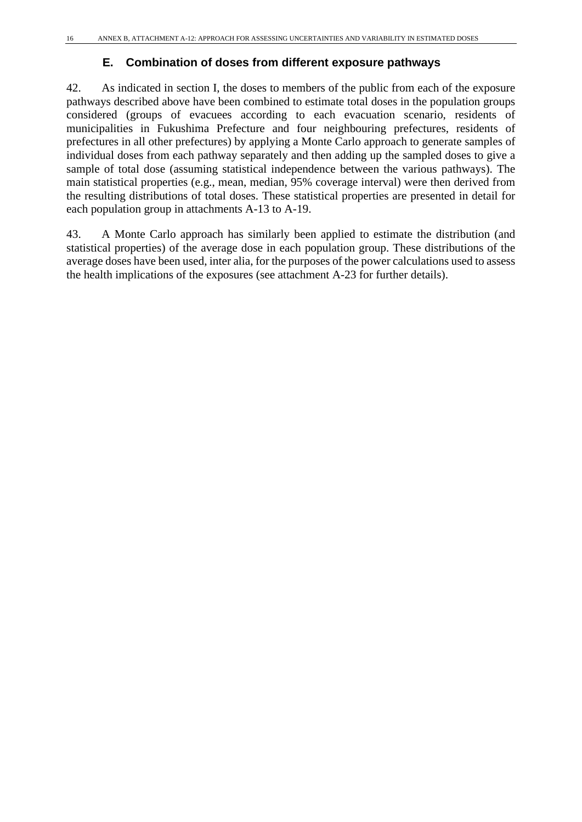#### **E. Combination of doses from different exposure pathways**

42. As indicated in section I, the doses to members of the public from each of the exposure pathways described above have been combined to estimate total doses in the population groups considered (groups of evacuees according to each evacuation scenario, residents of municipalities in Fukushima Prefecture and four neighbouring prefectures, residents of prefectures in all other prefectures) by applying a Monte Carlo approach to generate samples of individual doses from each pathway separately and then adding up the sampled doses to give a sample of total dose (assuming statistical independence between the various pathways). The main statistical properties (e.g., mean, median, 95% coverage interval) were then derived from the resulting distributions of total doses. These statistical properties are presented in detail for each population group in attachments A-13 to A-19.

43. A Monte Carlo approach has similarly been applied to estimate the distribution (and statistical properties) of the average dose in each population group. These distributions of the average doses have been used, inter alia, for the purposes of the power calculations used to assess the health implications of the exposures (see attachment A-23 for further details).